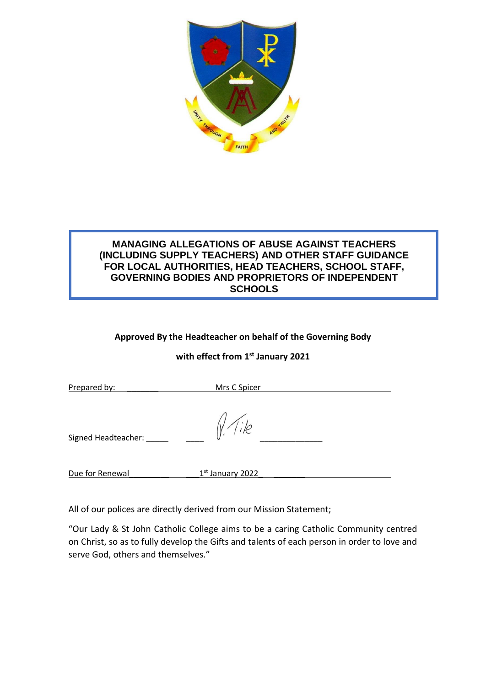

## **MANAGING ALLEGATIONS OF ABUSE AGAINST TEACHERS (INCLUDING SUPPLY TEACHERS) AND OTHER STAFF GUIDANCE FOR LOCAL AUTHORITIES, HEAD TEACHERS, SCHOOL STAFF, GOVERNING BODIES AND PROPRIETORS OF INDEPENDENT SCHOOLS**

#### **Approved By the Headteacher on behalf of the Governing Body**

#### **with effect from 1 st January 2021**

| Prepared by:               | Mrs C Spicer       |  |
|----------------------------|--------------------|--|
| <b>Signed Headteacher:</b> | $\sqrt{i}$         |  |
| Due for Renewal            | $1st$ January 2022 |  |

All of our polices are directly derived from our Mission Statement;

"Our Lady & St John Catholic College aims to be a caring Catholic Community centred on Christ, so as to fully develop the Gifts and talents of each person in order to love and serve God, others and themselves."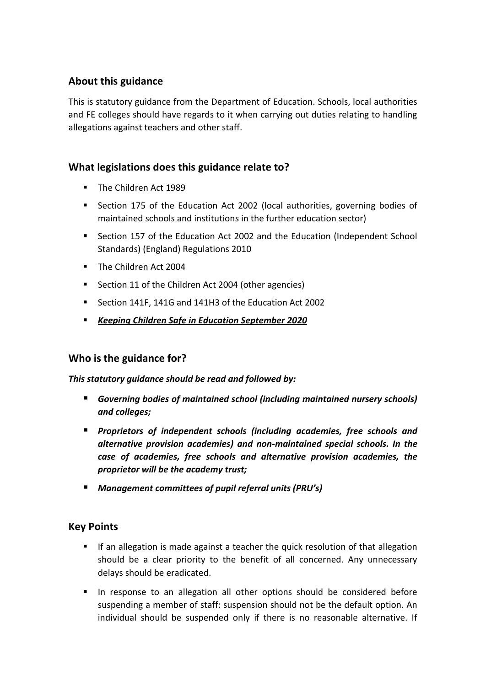# **About this guidance**

This is statutory guidance from the Department of Education. Schools, local authorities and FE colleges should have regards to it when carrying out duties relating to handling allegations against teachers and other staff.

# **What legislations does this guidance relate to?**

- The Children Act 1989
- Section 175 of the Education Act 2002 (local authorities, governing bodies of maintained schools and institutions in the further education sector)
- Section 157 of the Education Act 2002 and the Education (Independent School Standards) (England) Regulations 2010
- The Children Act 2004
- Section 11 of the Children Act 2004 (other agencies)
- Section 141F, 141G and 141H3 of the Education Act 2002
- *Keeping Children Safe in Education September 2020*

## **Who is the guidance for?**

*This statutory guidance should be read and followed by:*

- *Governing bodies of maintained school (including maintained nursery schools) and colleges;*
- *Proprietors of independent schools (including academies, free schools and alternative provision academies) and non-maintained special schools. In the case of academies, free schools and alternative provision academies, the proprietor will be the academy trust;*
- *Management committees of pupil referral units (PRU's)*

## **Key Points**

- If an allegation is made against a teacher the quick resolution of that allegation should be a clear priority to the benefit of all concerned. Any unnecessary delays should be eradicated.
- In response to an allegation all other options should be considered before suspending a member of staff: suspension should not be the default option. An individual should be suspended only if there is no reasonable alternative. If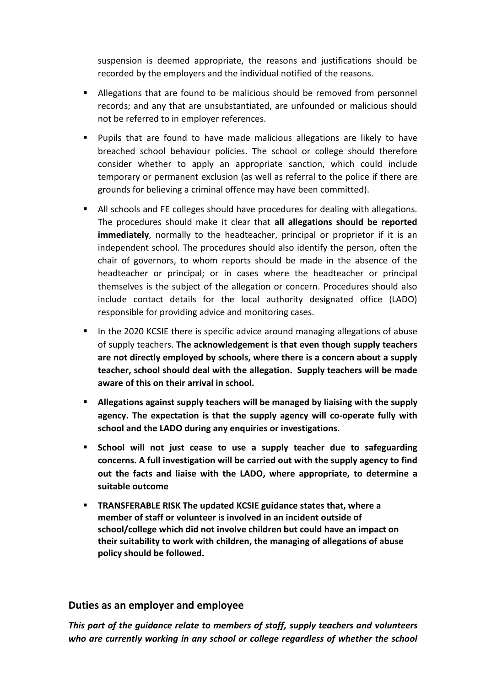suspension is deemed appropriate, the reasons and justifications should be recorded by the employers and the individual notified of the reasons.

- Allegations that are found to be malicious should be removed from personnel records; and any that are unsubstantiated, are unfounded or malicious should not be referred to in employer references.
- Pupils that are found to have made malicious allegations are likely to have breached school behaviour policies. The school or college should therefore consider whether to apply an appropriate sanction, which could include temporary or permanent exclusion (as well as referral to the police if there are grounds for believing a criminal offence may have been committed).
- All schools and FE colleges should have procedures for dealing with allegations. The procedures should make it clear that **all allegations should be reported immediately**, normally to the headteacher, principal or proprietor if it is an independent school. The procedures should also identify the person, often the chair of governors, to whom reports should be made in the absence of the headteacher or principal; or in cases where the headteacher or principal themselves is the subject of the allegation or concern. Procedures should also include contact details for the local authority designated office (LADO) responsible for providing advice and monitoring cases.
- In the 2020 KCSIE there is specific advice around managing allegations of abuse of supply teachers. **The acknowledgement is that even though supply teachers are not directly employed by schools, where there is a concern about a supply teacher, school should deal with the allegation. Supply teachers will be made aware of this on their arrival in school.**
- **EXTED Allegations against supply teachers will be managed by liaising with the supply agency. The expectation is that the supply agency will co-operate fully with school and the LADO during any enquiries or investigations.**
- **School will not just cease to use a supply teacher due to safeguarding concerns. A full investigation will be carried out with the supply agency to find out the facts and liaise with the LADO, where appropriate, to determine a suitable outcome**
- **TRANSFERABLE RISK The updated KCSIE guidance states that, where a member of staff or volunteer is involved in an incident outside of school/college which did not involve children but could have an impact on their suitability to work with children, the managing of allegations of abuse policy should be followed.**

## **Duties as an employer and employee**

*This part of the guidance relate to members of staff, supply teachers and volunteers who are currently working in any school or college regardless of whether the school*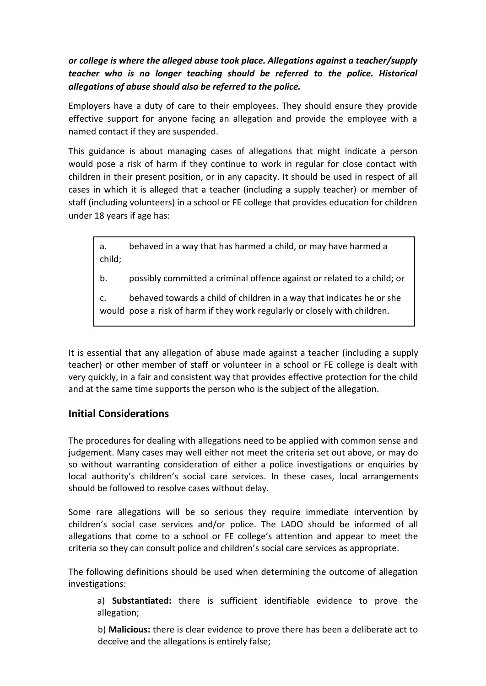## *or college is where the alleged abuse took place. Allegations against a teacher/supply teacher who is no longer teaching should be referred to the police. Historical allegations of abuse should also be referred to the police.*

Employers have a duty of care to their employees. They should ensure they provide effective support for anyone facing an allegation and provide the employee with a named contact if they are suspended.

This guidance is about managing cases of allegations that might indicate a person would pose a risk of harm if they continue to work in regular for close contact with children in their present position, or in any capacity. It should be used in respect of all cases in which it is alleged that a teacher (including a supply teacher) or member of staff (including volunteers) in a school or FE college that provides education for children under 18 years if age has:

a. behaved in a way that has harmed a child, or may have harmed a child;

b. possibly committed a criminal offence against or related to a child; or

c. behaved towards a child of children in a way that indicates he or she would pose a risk of harm if they work regularly or closely with children.

It is essential that any allegation of abuse made against a teacher (including a supply teacher) or other member of staff or volunteer in a school or FE college is dealt with very quickly, in a fair and consistent way that provides effective protection for the child and at the same time supports the person who is the subject of the allegation.

# **Initial Considerations**

The procedures for dealing with allegations need to be applied with common sense and judgement. Many cases may well either not meet the criteria set out above, or may do so without warranting consideration of either a police investigations or enquiries by local authority's children's social care services. In these cases, local arrangements should be followed to resolve cases without delay.

Some rare allegations will be so serious they require immediate intervention by children's social case services and/or police. The LADO should be informed of all allegations that come to a school or FE college's attention and appear to meet the criteria so they can consult police and children's social care services as appropriate.

The following definitions should be used when determining the outcome of allegation investigations:

a) **Substantiated:** there is sufficient identifiable evidence to prove the allegation;

b) **Malicious:** there is clear evidence to prove there has been a deliberate act to deceive and the allegations is entirely false;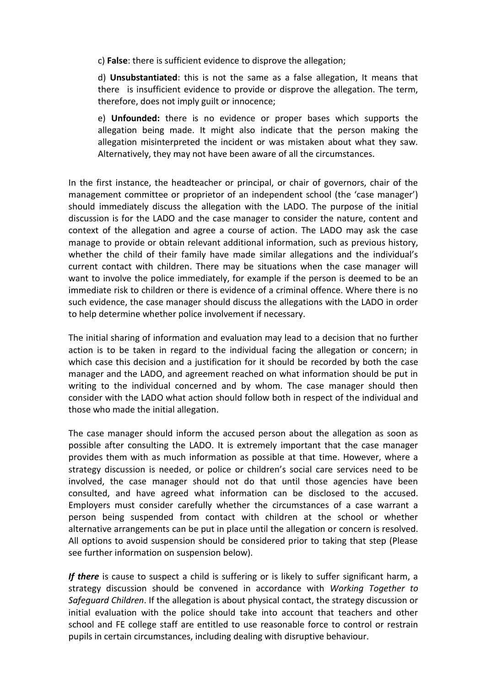c) **False**: there is sufficient evidence to disprove the allegation;

d) **Unsubstantiated**: this is not the same as a false allegation, It means that there is insufficient evidence to provide or disprove the allegation. The term, therefore, does not imply guilt or innocence;

e) **Unfounded:** there is no evidence or proper bases which supports the allegation being made. It might also indicate that the person making the allegation misinterpreted the incident or was mistaken about what they saw. Alternatively, they may not have been aware of all the circumstances.

In the first instance, the headteacher or principal, or chair of governors, chair of the management committee or proprietor of an independent school (the 'case manager') should immediately discuss the allegation with the LADO. The purpose of the initial discussion is for the LADO and the case manager to consider the nature, content and context of the allegation and agree a course of action. The LADO may ask the case manage to provide or obtain relevant additional information, such as previous history, whether the child of their family have made similar allegations and the individual's current contact with children. There may be situations when the case manager will want to involve the police immediately, for example if the person is deemed to be an immediate risk to children or there is evidence of a criminal offence. Where there is no such evidence, the case manager should discuss the allegations with the LADO in order to help determine whether police involvement if necessary.

The initial sharing of information and evaluation may lead to a decision that no further action is to be taken in regard to the individual facing the allegation or concern; in which case this decision and a justification for it should be recorded by both the case manager and the LADO, and agreement reached on what information should be put in writing to the individual concerned and by whom. The case manager should then consider with the LADO what action should follow both in respect of the individual and those who made the initial allegation.

The case manager should inform the accused person about the allegation as soon as possible after consulting the LADO. It is extremely important that the case manager provides them with as much information as possible at that time. However, where a strategy discussion is needed, or police or children's social care services need to be involved, the case manager should not do that until those agencies have been consulted, and have agreed what information can be disclosed to the accused. Employers must consider carefully whether the circumstances of a case warrant a person being suspended from contact with children at the school or whether alternative arrangements can be put in place until the allegation or concern is resolved. All options to avoid suspension should be considered prior to taking that step (Please see further information on suspension below).

*If there* is cause to suspect a child is suffering or is likely to suffer significant harm, a strategy discussion should be convened in accordance with *Working Together to Safeguard Children*. If the allegation is about physical contact, the strategy discussion or initial evaluation with the police should take into account that teachers and other school and FE college staff are entitled to use reasonable force to control or restrain pupils in certain circumstances, including dealing with disruptive behaviour.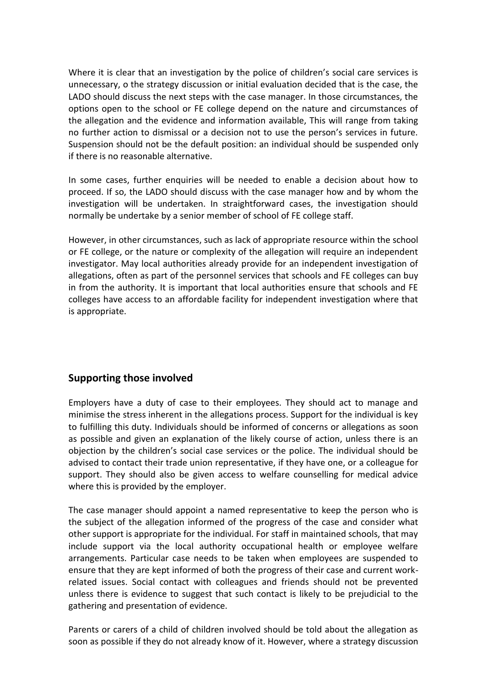Where it is clear that an investigation by the police of children's social care services is unnecessary, o the strategy discussion or initial evaluation decided that is the case, the LADO should discuss the next steps with the case manager. In those circumstances, the options open to the school or FE college depend on the nature and circumstances of the allegation and the evidence and information available, This will range from taking no further action to dismissal or a decision not to use the person's services in future. Suspension should not be the default position: an individual should be suspended only if there is no reasonable alternative.

In some cases, further enquiries will be needed to enable a decision about how to proceed. If so, the LADO should discuss with the case manager how and by whom the investigation will be undertaken. In straightforward cases, the investigation should normally be undertake by a senior member of school of FE college staff.

However, in other circumstances, such as lack of appropriate resource within the school or FE college, or the nature or complexity of the allegation will require an independent investigator. May local authorities already provide for an independent investigation of allegations, often as part of the personnel services that schools and FE colleges can buy in from the authority. It is important that local authorities ensure that schools and FE colleges have access to an affordable facility for independent investigation where that is appropriate.

## **Supporting those involved**

Employers have a duty of case to their employees. They should act to manage and minimise the stress inherent in the allegations process. Support for the individual is key to fulfilling this duty. Individuals should be informed of concerns or allegations as soon as possible and given an explanation of the likely course of action, unless there is an objection by the children's social case services or the police. The individual should be advised to contact their trade union representative, if they have one, or a colleague for support. They should also be given access to welfare counselling for medical advice where this is provided by the employer.

The case manager should appoint a named representative to keep the person who is the subject of the allegation informed of the progress of the case and consider what other support is appropriate for the individual. For staff in maintained schools, that may include support via the local authority occupational health or employee welfare arrangements. Particular case needs to be taken when employees are suspended to ensure that they are kept informed of both the progress of their case and current workrelated issues. Social contact with colleagues and friends should not be prevented unless there is evidence to suggest that such contact is likely to be prejudicial to the gathering and presentation of evidence.

Parents or carers of a child of children involved should be told about the allegation as soon as possible if they do not already know of it. However, where a strategy discussion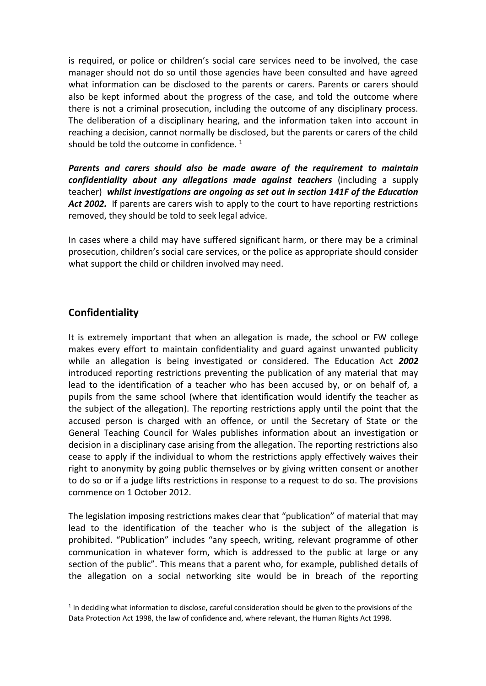is required, or police or children's social care services need to be involved, the case manager should not do so until those agencies have been consulted and have agreed what information can be disclosed to the parents or carers. Parents or carers should also be kept informed about the progress of the case, and told the outcome where there is not a criminal prosecution, including the outcome of any disciplinary process. The deliberation of a disciplinary hearing, and the information taken into account in reaching a decision, cannot normally be disclosed, but the parents or carers of the child should be told the outcome in confidence.  $1$ 

*Parents and carers should also be made aware of the requirement to maintain confidentiality about any allegations made against teachers* (including a supply teacher) *whilst investigations are ongoing as set out in section 141F of the Education*  Act 2002. If parents are carers wish to apply to the court to have reporting restrictions removed, they should be told to seek legal advice.

In cases where a child may have suffered significant harm, or there may be a criminal prosecution, children's social care services, or the police as appropriate should consider what support the child or children involved may need.

# **Confidentiality**

1

It is extremely important that when an allegation is made, the school or FW college makes every effort to maintain confidentiality and guard against unwanted publicity while an allegation is being investigated or considered. The Education Act *2002* introduced reporting restrictions preventing the publication of any material that may lead to the identification of a teacher who has been accused by, or on behalf of, a pupils from the same school (where that identification would identify the teacher as the subject of the allegation). The reporting restrictions apply until the point that the accused person is charged with an offence, or until the Secretary of State or the General Teaching Council for Wales publishes information about an investigation or decision in a disciplinary case arising from the allegation. The reporting restrictions also cease to apply if the individual to whom the restrictions apply effectively waives their right to anonymity by going public themselves or by giving written consent or another to do so or if a judge lifts restrictions in response to a request to do so. The provisions commence on 1 October 2012.

The legislation imposing restrictions makes clear that "publication" of material that may lead to the identification of the teacher who is the subject of the allegation is prohibited. "Publication" includes "any speech, writing, relevant programme of other communication in whatever form, which is addressed to the public at large or any section of the public". This means that a parent who, for example, published details of the allegation on a social networking site would be in breach of the reporting

 $<sup>1</sup>$  In deciding what information to disclose, careful consideration should be given to the provisions of the</sup> Data Protection Act 1998, the law of confidence and, where relevant, the Human Rights Act 1998.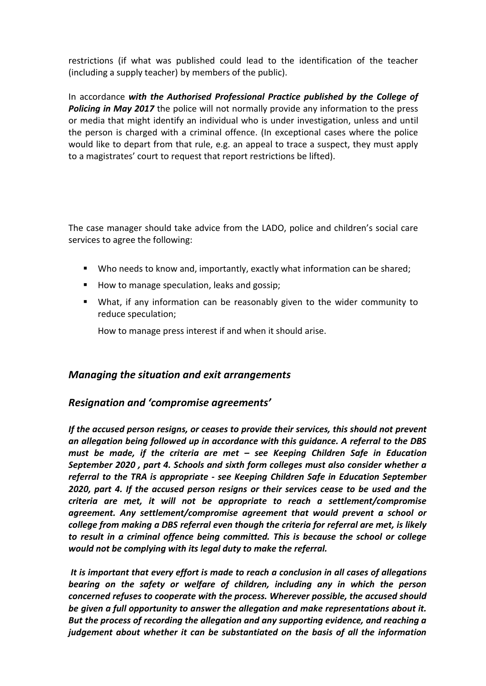restrictions (if what was published could lead to the identification of the teacher (including a supply teacher) by members of the public).

In accordance *with the Authorised Professional Practice published by the College of*  **Policing in May 2017** the police will not normally provide any information to the press or media that might identify an individual who is under investigation, unless and until the person is charged with a criminal offence. (In exceptional cases where the police would like to depart from that rule, e.g. an appeal to trace a suspect, they must apply to a magistrates' court to request that report restrictions be lifted).

The case manager should take advice from the LADO, police and children's social care services to agree the following:

- Who needs to know and, importantly, exactly what information can be shared;
- How to manage speculation, leaks and gossip;
- What, if any information can be reasonably given to the wider community to reduce speculation;

How to manage press interest if and when it should arise.

#### *Managing the situation and exit arrangements*

## *Resignation and 'compromise agreements'*

*If the accused person resigns, or ceases to provide their services, this should not prevent an allegation being followed up in accordance with this guidance. A referral to the DBS must be made, if the criteria are met – see Keeping Children Safe in Education September 2020 , part 4. Schools and sixth form colleges must also consider whether a referral to the TRA is appropriate - see Keeping Children Safe in Education September 2020, part 4. If the accused person resigns or their services cease to be used and the criteria are met, it will not be appropriate to reach a settlement/compromise agreement. Any settlement/compromise agreement that would prevent a school or college from making a DBS referral even though the criteria for referral are met, is likely to result in a criminal offence being committed. This is because the school or college would not be complying with its legal duty to make the referral.* 

*It is important that every effort is made to reach a conclusion in all cases of allegations bearing on the safety or welfare of children, including any in which the person concerned refuses to cooperate with the process. Wherever possible, the accused should be given a full opportunity to answer the allegation and make representations about it. But the process of recording the allegation and any supporting evidence, and reaching a judgement about whether it can be substantiated on the basis of all the information*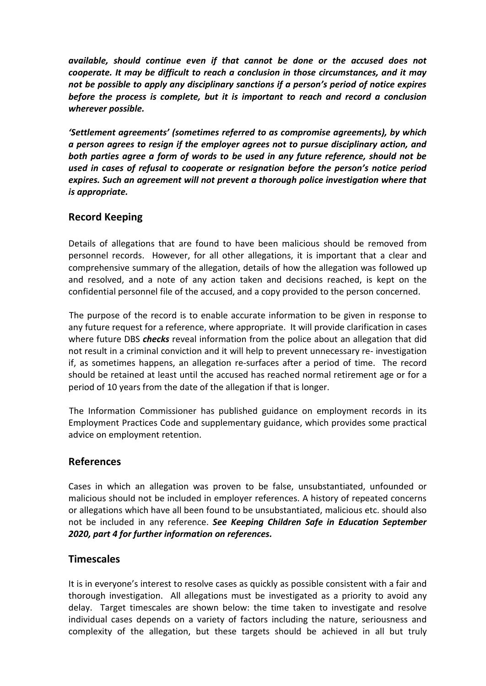*available, should continue even if that cannot be done or the accused does not cooperate. It may be difficult to reach a conclusion in those circumstances, and it may not be possible to apply any disciplinary sanctions if a person's period of notice expires before the process is complete, but it is important to reach and record a conclusion wherever possible.* 

*'Settlement agreements' (sometimes referred to as compromise agreements), by which a person agrees to resign if the employer agrees not to pursue disciplinary action, and both parties agree a form of words to be used in any future reference, should not be used in cases of refusal to cooperate or resignation before the person's notice period expires. Such an agreement will not prevent a thorough police investigation where that is appropriate.*

## **Record Keeping**

Details of allegations that are found to have been malicious should be removed from personnel records. However, for all other allegations, it is important that a clear and comprehensive summary of the allegation, details of how the allegation was followed up and resolved, and a note of any action taken and decisions reached, is kept on the confidential personnel file of the accused, and a copy provided to the person concerned.

The purpose of the record is to enable accurate information to be given in response to any future request for a reference, where appropriate. It will provide clarification in cases where future DBS *checks* reveal information from the police about an allegation that did not result in a criminal conviction and it will help to prevent unnecessary re- investigation if, as sometimes happens, an allegation re-surfaces after a period of time. The record should be retained at least until the accused has reached normal retirement age or for a period of 10 years from the date of the allegation if that is longer.

The Information Commissioner has published guidance on employment records in its Employment Practices Code and supplementary guidance, which provides some practical advice on employment retention.

#### **References**

Cases in which an allegation was proven to be false, unsubstantiated, unfounded or malicious should not be included in employer references. A history of repeated concerns or allegations which have all been found to be unsubstantiated, malicious etc. should also not be included in any reference. *See Keeping Children Safe in Education September 2020, part 4 for further information on references.*

#### **Timescales**

It is in everyone's interest to resolve cases as quickly as possible consistent with a fair and thorough investigation. All allegations must be investigated as a priority to avoid any delay. Target timescales are shown below: the time taken to investigate and resolve individual cases depends on a variety of factors including the nature, seriousness and complexity of the allegation, but these targets should be achieved in all but truly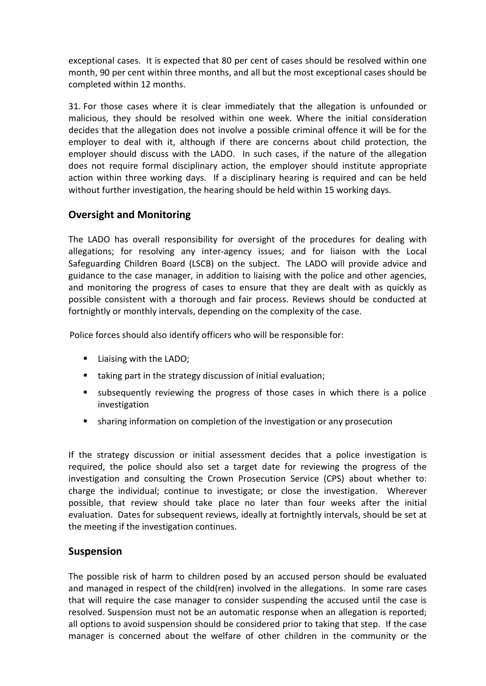exceptional cases. It is expected that 80 per cent of cases should be resolved within one month, 90 per cent within three months, and all but the most exceptional cases should be completed within 12 months.

31. For those cases where it is clear immediately that the allegation is unfounded or malicious, they should be resolved within one week. Where the initial consideration decides that the allegation does not involve a possible criminal offence it will be for the employer to deal with it, although if there are concerns about child protection, the employer should discuss with the LADO. In such cases, if the nature of the allegation does not require formal disciplinary action, the employer should institute appropriate action within three working days. If a disciplinary hearing is required and can be held without further investigation, the hearing should be held within 15 working days.

# **Oversight and Monitoring**

The LADO has overall responsibility for oversight of the procedures for dealing with allegations; for resolving any inter-agency issues; and for liaison with the Local Safeguarding Children Board (LSCB) on the subject. The LADO will provide advice and guidance to the case manager, in addition to liaising with the police and other agencies, and monitoring the progress of cases to ensure that they are dealt with as quickly as possible consistent with a thorough and fair process. Reviews should be conducted at fortnightly or monthly intervals, depending on the complexity of the case.

Police forces should also identify officers who will be responsible for:

- Liaising with the LADO;
- taking part in the strategy discussion of initial evaluation;
- subsequently reviewing the progress of those cases in which there is a police investigation
- sharing information on completion of the investigation or any prosecution

If the strategy discussion or initial assessment decides that a police investigation is required, the police should also set a target date for reviewing the progress of the investigation and consulting the Crown Prosecution Service (CPS) about whether to: charge the individual; continue to investigate; or close the investigation. Wherever possible, that review should take place no later than four weeks after the initial evaluation. Dates for subsequent reviews, ideally at fortnightly intervals, should be set at the meeting if the investigation continues.

## **Suspension**

The possible risk of harm to children posed by an accused person should be evaluated and managed in respect of the child(ren) involved in the allegations. In some rare cases that will require the case manager to consider suspending the accused until the case is resolved. Suspension must not be an automatic response when an allegation is reported; all options to avoid suspension should be considered prior to taking that step. If the case manager is concerned about the welfare of other children in the community or the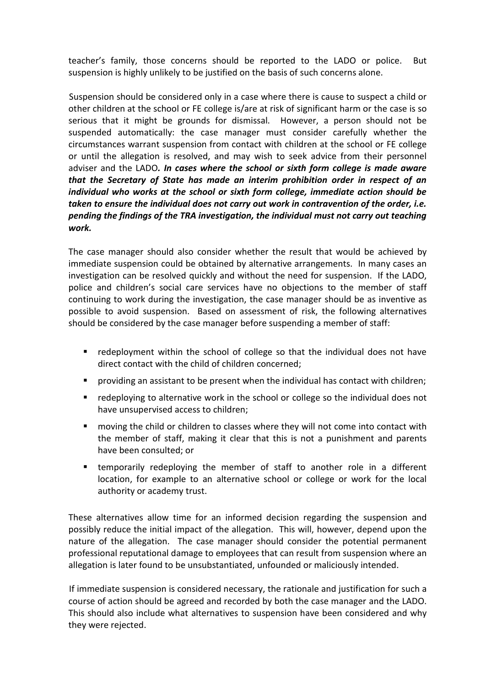teacher's family, those concerns should be reported to the LADO or police. But suspension is highly unlikely to be justified on the basis of such concerns alone.

Suspension should be considered only in a case where there is cause to suspect a child or other children at the school or FE college is/are at risk of significant harm or the case is so serious that it might be grounds for dismissal. However, a person should not be suspended automatically: the case manager must consider carefully whether the circumstances warrant suspension from contact with children at the school or FE college or until the allegation is resolved, and may wish to seek advice from their personnel adviser and the LADO*. In cases where the school or sixth form college is made aware that the Secretary of State has made an interim prohibition order in respect of an individual who works at the school or sixth form college, immediate action should be taken to ensure the individual does not carry out work in contravention of the order, i.e. pending the findings of the TRA investigation, the individual must not carry out teaching work.*

The case manager should also consider whether the result that would be achieved by immediate suspension could be obtained by alternative arrangements. In many cases an investigation can be resolved quickly and without the need for suspension. If the LADO, police and children's social care services have no objections to the member of staff continuing to work during the investigation, the case manager should be as inventive as possible to avoid suspension. Based on assessment of risk, the following alternatives should be considered by the case manager before suspending a member of staff:

- redeployment within the school of college so that the individual does not have direct contact with the child of children concerned;
- providing an assistant to be present when the individual has contact with children;
- redeploying to alternative work in the school or college so the individual does not have unsupervised access to children;
- moving the child or children to classes where they will not come into contact with the member of staff, making it clear that this is not a punishment and parents have been consulted; or
- temporarily redeploying the member of staff to another role in a different location, for example to an alternative school or college or work for the local authority or academy trust.

These alternatives allow time for an informed decision regarding the suspension and possibly reduce the initial impact of the allegation. This will, however, depend upon the nature of the allegation. The case manager should consider the potential permanent professional reputational damage to employees that can result from suspension where an allegation is later found to be unsubstantiated, unfounded or maliciously intended.

If immediate suspension is considered necessary, the rationale and justification for such a course of action should be agreed and recorded by both the case manager and the LADO. This should also include what alternatives to suspension have been considered and why they were rejected.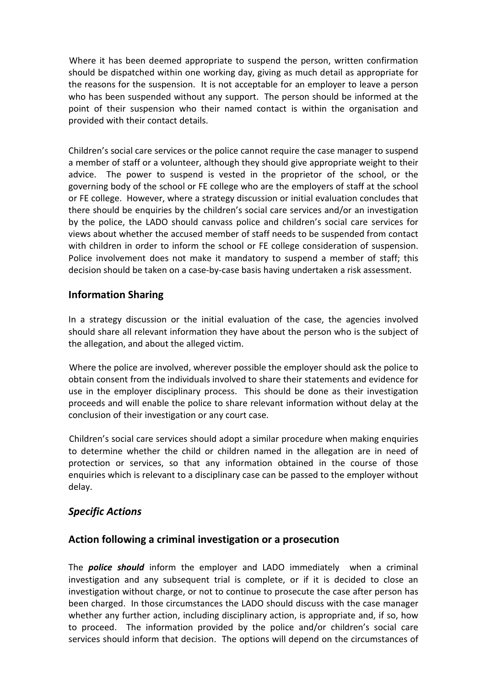Where it has been deemed appropriate to suspend the person, written confirmation should be dispatched within one working day, giving as much detail as appropriate for the reasons for the suspension. It is not acceptable for an employer to leave a person who has been suspended without any support. The person should be informed at the point of their suspension who their named contact is within the organisation and provided with their contact details.

Children's social care services or the police cannot require the case manager to suspend a member of staff or a volunteer, although they should give appropriate weight to their advice. The power to suspend is vested in the proprietor of the school, or the governing body of the school or FE college who are the employers of staff at the school or FE college. However, where a strategy discussion or initial evaluation concludes that there should be enquiries by the children's social care services and/or an investigation by the police, the LADO should canvass police and children's social care services for views about whether the accused member of staff needs to be suspended from contact with children in order to inform the school or FE college consideration of suspension. Police involvement does not make it mandatory to suspend a member of staff; this decision should be taken on a case-by-case basis having undertaken a risk assessment.

# **Information Sharing**

In a strategy discussion or the initial evaluation of the case, the agencies involved should share all relevant information they have about the person who is the subject of the allegation, and about the alleged victim.

Where the police are involved, wherever possible the employer should ask the police to obtain consent from the individuals involved to share their statements and evidence for use in the employer disciplinary process. This should be done as their investigation proceeds and will enable the police to share relevant information without delay at the conclusion of their investigation or any court case.

Children's social care services should adopt a similar procedure when making enquiries to determine whether the child or children named in the allegation are in need of protection or services, so that any information obtained in the course of those enquiries which is relevant to a disciplinary case can be passed to the employer without delay.

## *Specific Actions*

## **Action following a criminal investigation or a prosecution**

The *police should* inform the employer and LADO immediately when a criminal investigation and any subsequent trial is complete, or if it is decided to close an investigation without charge, or not to continue to prosecute the case after person has been charged. In those circumstances the LADO should discuss with the case manager whether any further action, including disciplinary action, is appropriate and, if so, how to proceed. The information provided by the police and/or children's social care services should inform that decision. The options will depend on the circumstances of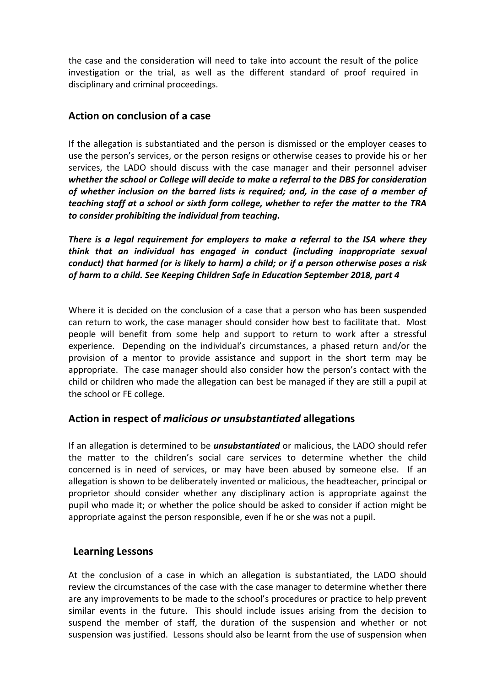the case and the consideration will need to take into account the result of the police investigation or the trial, as well as the different standard of proof required in disciplinary and criminal proceedings.

#### **Action on conclusion of a case**

If the allegation is substantiated and the person is dismissed or the employer ceases to use the person's services, or the person resigns or otherwise ceases to provide his or her services, the LADO should discuss with the case manager and their personnel adviser *whether the school or College will decide to make a referral to the DBS for consideration of whether inclusion on the barred lists is required; and, in the case of a member of teaching staff at a school or sixth form college, whether to refer the matter to the TRA to consider prohibiting the individual from teaching.*

*There is a legal requirement for employers to make a referral to the ISA where they think that an individual has engaged in conduct (including inappropriate sexual conduct) that harmed (or is likely to harm) a child; or if a person otherwise poses a risk of harm to a child. See Keeping Children Safe in Education September 2018, part 4*

Where it is decided on the conclusion of a case that a person who has been suspended can return to work, the case manager should consider how best to facilitate that. Most people will benefit from some help and support to return to work after a stressful experience. Depending on the individual's circumstances, a phased return and/or the provision of a mentor to provide assistance and support in the short term may be appropriate. The case manager should also consider how the person's contact with the child or children who made the allegation can best be managed if they are still a pupil at the school or FE college.

## **Action in respect of** *malicious or unsubstantiated* **allegations**

If an allegation is determined to be *unsubstantiated* or malicious, the LADO should refer the matter to the children's social care services to determine whether the child concerned is in need of services, or may have been abused by someone else. If an allegation is shown to be deliberately invented or malicious, the headteacher, principal or proprietor should consider whether any disciplinary action is appropriate against the pupil who made it; or whether the police should be asked to consider if action might be appropriate against the person responsible, even if he or she was not a pupil.

#### **Learning Lessons**

At the conclusion of a case in which an allegation is substantiated, the LADO should review the circumstances of the case with the case manager to determine whether there are any improvements to be made to the school's procedures or practice to help prevent similar events in the future. This should include issues arising from the decision to suspend the member of staff, the duration of the suspension and whether or not suspension was justified. Lessons should also be learnt from the use of suspension when